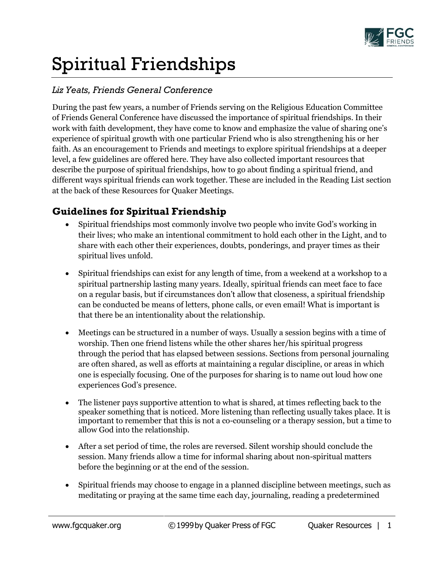

# Spiritual Friendships

### *Liz Yeats, Friends General Conference*

During the past few years, a number of Friends serving on the Religious Education Committee of Friends General Conference have discussed the importance of spiritual friendships. In their work with faith development, they have come to know and emphasize the value of sharing one's experience of spiritual growth with one particular Friend who is also strengthening his or her faith. As an encouragement to Friends and meetings to explore spiritual friendships at a deeper level, a few guidelines are offered here. They have also collected important resources that describe the purpose of spiritual friendships, how to go about finding a spiritual friend, and different ways spiritual friends can work together. These are included in the Reading List section at the back of these Resources for Quaker Meetings.

### **Guidelines for Spiritual Friendship**

- Spiritual friendships most commonly involve two people who invite God's working in their lives; who make an intentional commitment to hold each other in the Light, and to share with each other their experiences, doubts, ponderings, and prayer times as their spiritual lives unfold.
- Spiritual friendships can exist for any length of time, from a weekend at a workshop to a spiritual partnership lasting many years. Ideally, spiritual friends can meet face to face on a regular basis, but if circumstances don't allow that closeness, a spiritual friendship can be conducted be means of letters, phone calls, or even email! What is important is that there be an intentionality about the relationship.
- Meetings can be structured in a number of ways. Usually a session begins with a time of worship. Then one friend listens while the other shares her/his spiritual progress through the period that has elapsed between sessions. Sections from personal journaling are often shared, as well as efforts at maintaining a regular discipline, or areas in which one is especially focusing. One of the purposes for sharing is to name out loud how one experiences God's presence.
- The listener pays supportive attention to what is shared, at times reflecting back to the speaker something that is noticed. More listening than reflecting usually takes place. It is important to remember that this is not a co-counseling or a therapy session, but a time to allow God into the relationship.
- After a set period of time, the roles are reversed. Silent worship should conclude the session. Many friends allow a time for informal sharing about non-spiritual matters before the beginning or at the end of the session.
- Spiritual friends may choose to engage in a planned discipline between meetings, such as meditating or praying at the same time each day, journaling, reading a predetermined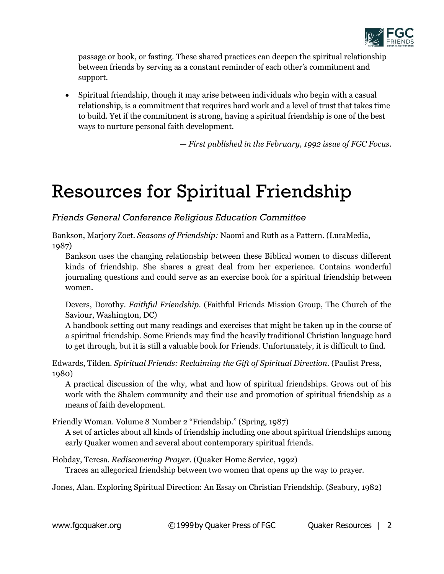

passage or book, or fasting. These shared practices can deepen the spiritual relationship between friends by serving as a constant reminder of each other's commitment and support.

 Spiritual friendship, though it may arise between individuals who begin with a casual relationship, is a commitment that requires hard work and a level of trust that takes time to build. Yet if the commitment is strong, having a spiritual friendship is one of the best ways to nurture personal faith development.

*— First published in the February, 1992 issue of FGC Focus.*

## Resources for Spiritual Friendship

#### *Friends General Conference Religious Education Committee*

Bankson, Marjory Zoet. *Seasons of Friendship:* Naomi and Ruth as a Pattern. (LuraMedia, 1987)

Bankson uses the changing relationship between these Biblical women to discuss different kinds of friendship. She shares a great deal from her experience. Contains wonderful journaling questions and could serve as an exercise book for a spiritual friendship between women.

Devers, Dorothy. *Faithful Friendship.* (Faithful Friends Mission Group, The Church of the Saviour, Washington, DC)

A handbook setting out many readings and exercises that might be taken up in the course of a spiritual friendship. Some Friends may find the heavily traditional Christian language hard to get through, but it is still a valuable book for Friends. Unfortunately, it is difficult to find.

Edwards, Tilden. *Spiritual Friends: Reclaiming the Gift of Spiritual Direction*. (Paulist Press, 1980)

A practical discussion of the why, what and how of spiritual friendships. Grows out of his work with the Shalem community and their use and promotion of spiritual friendship as a means of faith development.

Friendly Woman. Volume 8 Number 2 "Friendship." (Spring, 1987)

A set of articles about all kinds of friendship including one about spiritual friendships among early Quaker women and several about contemporary spiritual friends.

Hobday, Teresa. *Rediscovering Prayer.* (Quaker Home Service, 1992) Traces an allegorical friendship between two women that opens up the way to prayer.

Jones, Alan. Exploring Spiritual Direction: An Essay on Christian Friendship. (Seabury, 1982)